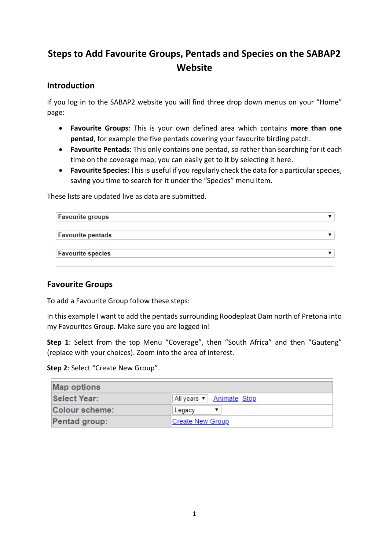# **Steps to Add Favourite Groups, Pentads and Species on the SABAP2 Website**

### **Introduction**

If you log in to the SABAP2 website you will find three drop down menus on your "Home" page:

- **Favourite Groups**: This is your own defined area which contains **more than one pentad**, for example the five pentads covering your favourite birding patch.
- **Favourite Pentads**: This only contains one pentad, so rather than searching for it each time on the coverage map, you can easily get to it by selecting it here.
- **Favourite Species**: This is useful if you regularly check the data for a particular species, saving you time to search for it under the "Species" menu item.

These lists are updated live as data are submitted.

| <b>Favourite groups</b>  |  |
|--------------------------|--|
| <b>Favourite pentads</b> |  |
| <b>Favourite species</b> |  |

### **Favourite Groups**

To add a Favourite Group follow these steps:

In this example I want to add the pentads surrounding Roodeplaat Dam north of Pretoria into my Favourites Group. Make sure you are logged in!

**Step 1**: Select from the top Menu "Coverage", then "South Africa" and then "Gauteng" (replace with your choices). Zoom into the area of interest.

**Step 2**: Select "Create New Group".

| <b>Map options</b>    |                          |  |
|-----------------------|--------------------------|--|
| <b>Select Year:</b>   | All years   Animate Stop |  |
| <b>Colour scheme:</b> | Legacy                   |  |
| <b>Pentad group:</b>  | Create New Group         |  |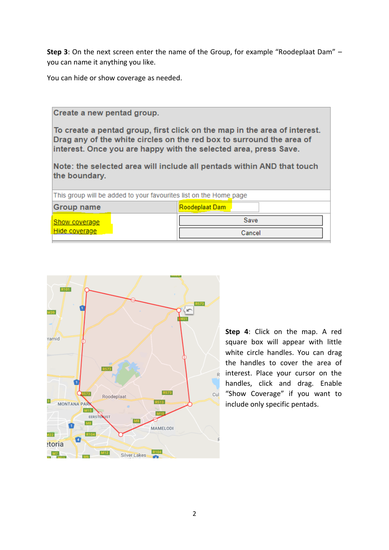**Step 3**: On the next screen enter the name of the Group, for example "Roodeplaat Dam" – you can name it anything you like.

You can hide or show coverage as needed.

the boundary.

## Create a new pentad group. To create a pentad group, first click on the map in the area of interest. Drag any of the white circles on the red box to surround the area of

interest. Once you are happy with the selected area, press Save. Note: the selected area will include all pentads within AND that touch

| This group will be added to your favourites list on the Home page |                |  |
|-------------------------------------------------------------------|----------------|--|
| <b>Group name</b>                                                 | Roodeplaat Dam |  |
| <b>Show coverage</b>                                              | Save           |  |
| Hide coverage                                                     | Cancel         |  |



**Step 4**: Click on the map. A red square box will appear with little white circle handles. You can drag the handles to cover the area of interest. Place your cursor on the handles, click and drag. Enable "Show Coverage" if you want to include only specific pentads.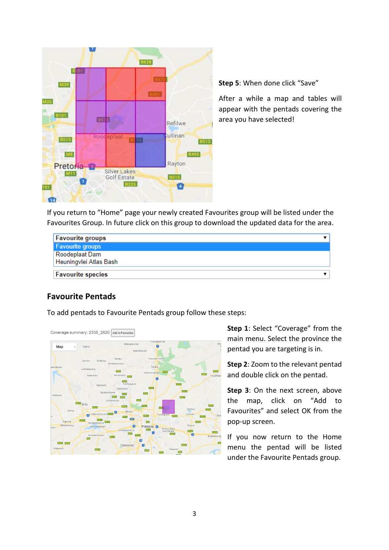

**Step 5**: When done click "Save"

After a while a map and tables will appear with the pentads covering the area you have selected!

If you return to "Home" page your newly created Favourites group will be listed under the Favourites Group. In future click on this group to download the updated data for the area.

| <b>Favourite groups</b>  |  |
|--------------------------|--|
| <b>Favourite groups</b>  |  |
| Roodeplaat Dam           |  |
| Heuningvlei Atlas Bash   |  |
| <b>Favourite species</b> |  |

### **Favourite Pentads**

To add pentads to Favourite Pentads group follow these steps:



Coverage summary: 2535\_2820 Add to Favourites

**Step 1**: Select "Coverage" from the main menu. Select the province the pentad you are targeting is in.

**Step 2**: Zoom to the relevant pentad and double click on the pentad.

**Step 3**: On the next screen, above the map, click on "Add to Favourites" and select OK from the pop-up screen.

If you now return to the Home menu the pentad will be listed under the Favourite Pentads group.